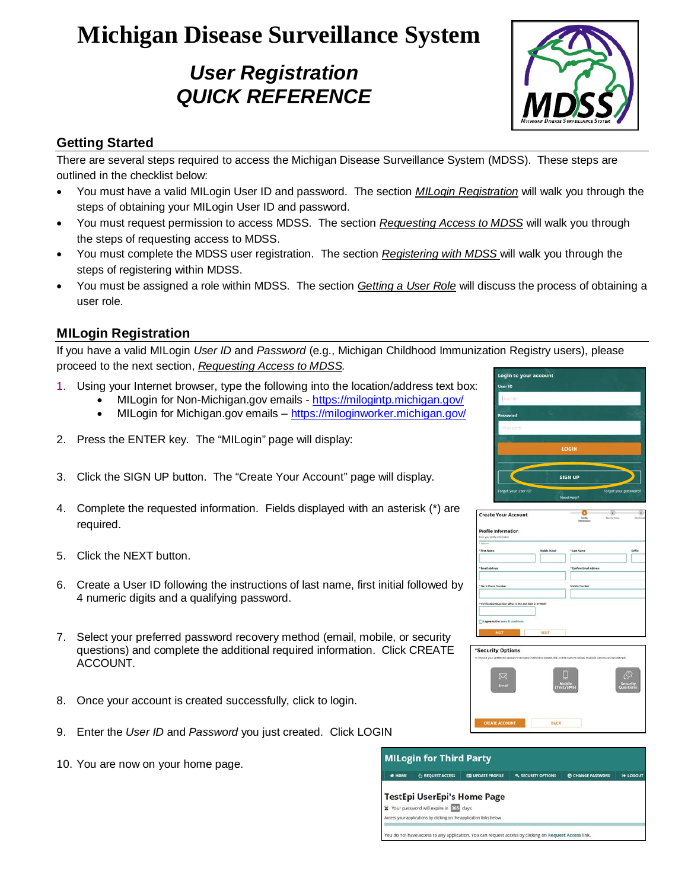# **Michigan Disease Surveillance System**

# *User Registration QUICK REFERENCE*



## **Getting Started**

There are several steps required to access the Michigan Disease Surveillance System (MDSS). These steps are outlined in the checklist below:

- You must have a valid MILogin User ID and password. The section *[MILogin Registration](#page-0-0)* will walk you through the steps of obtaining your MILogin User ID and password.
- You must request permission to access MDSS. The section *[Requesting Access to MDSS](#page-1-0)* will walk you through the steps of requesting access to MDSS.
- You must complete the MDSS user registration. The section *[Registering with MDSS](#page-1-1)* will walk you through the steps of registering within MDSS.
- You must be assigned a role within MDSS. The section *[Getting a User Role](#page-1-2)* will discuss the process of obtaining a user role.

#### <span id="page-0-0"></span>**MILogin Registration**

If you have a valid MILogin *User ID* and *Password* (e.g., Michigan Childhood Immunization Registry users), please proceed to the next section, *[Requesting Access to MDSS.](#page-1-0)*

- 1. Using your Internet browser, type the following into the location/address text box:
	- MILogin for Non-Michigan.gov emails <https://milogintp.michigan.gov/> • MILogin for Michigan.gov emails – <https://miloginworker.michigan.gov/>
- 2. Press the ENTER key. The "MILogin" page will display:
- 3. Click the SIGN UP button. The "Create Your Account" page will display.
- 4. Complete the requested information. Fields displayed with an asterisk (\*) are required.
- 5. Click the NEXT button.
- 6. Create a User ID following the instructions of last name, first initial followed by 4 numeric digits and a qualifying password.
- 7. Select your preferred password recovery method (email, mobile, or security questions) and complete the additional required information. Click CREATE ACCOUNT.
- 8. Once your account is created successfully, click to login.
- 9. Enter the *User ID* and *Password* you just created. Click LOGIN
- 10. You are now on your home page.



| <b>Create Your Account</b>                                   |                | <b>Postle</b><br>information | ÷<br>Security Server<br><b>Conference</b> |
|--------------------------------------------------------------|----------------|------------------------------|-------------------------------------------|
| <b>Profile Information</b><br>from your profile information. |                |                              |                                           |
| <b>Filmmand</b><br><sup>1</sup> First Name                   | Middle Initial | "Last Name<br>٠              | Saffix                                    |
| "Imail Address                                               |                | " Confirm Email Address      |                                           |
| "Werk Phone Number                                           |                | <b>Mubile Number</b>         |                                           |
| *Verification Question: What is the 2nd digit in 2179037     |                |                              |                                           |
| I surre to the terms & conditions.                           |                |                              |                                           |
| NDCT                                                         | RESET          |                              |                                           |